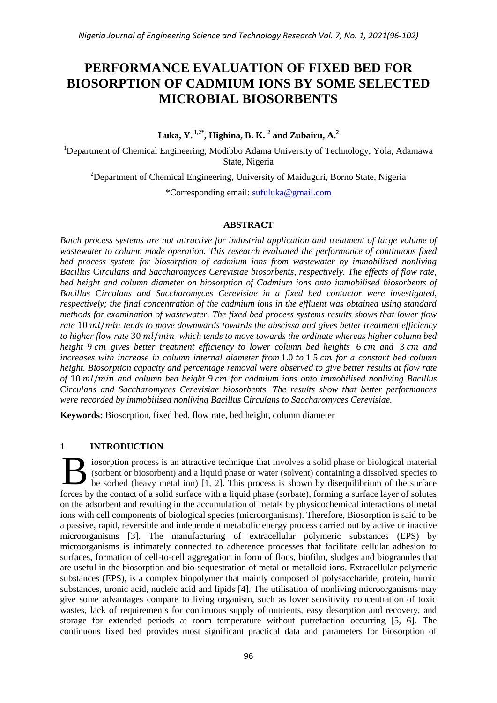# **PERFORMANCE EVALUATION OF FIXED BED FOR BIOSORPTION OF CADMIUM IONS BY SOME SELECTED MICROBIAL BIOSORBENTS**

**Luka, Y. 1,2\* , Highina, B. K. <sup>2</sup> and Zubairu, A.<sup>2</sup>**

<sup>1</sup>Department of Chemical Engineering, Modibbo Adama University of Technology, Yola, Adamawa State, Nigeria

<sup>2</sup>Department of Chemical Engineering, University of Maiduguri, Borno State, Nigeria

\*Corresponding email: [sufuluka@gmail.com](mailto:sufuluka@gmail.com)

# **ABSTRACT**

*Batch process systems are not attractive for industrial application and treatment of large volume of wastewater to column mode operation. This research evaluated the performance of continuous fixed bed process system for biosorption of cadmium ions from wastewater by immobilised nonliving Bacillus* C*irculans and Saccharomyces Cerevisiae biosorbents, respectively. The effects of flow rate, bed height and column diameter on biosorption of Cadmium ions onto immobilised biosorbents of Bacillus* C*irculans and Saccharomyces Cerevisiae in a fixed bed contactor were investigated, respectively; the final concentration of the cadmium ions in the effluent was obtained using standard methods for examination of wastewater. The fixed bed process systems results shows that lower flow*  rate 10 ml/min tends to move downwards towards the abscissa and gives better treatment efficiency *to higher flow rate 30 ml/min which tends to move towards the ordinate whereas higher column bed height 9 cm gives better treatment efficiency to lower column bed heights 6 cm and 3 cm and increases with increase in column internal diameter from* 1.0 to 1.5 cm for a constant bed column *height. Biosorption capacity and percentage removal were observed to give better results at flow rate*  of 10 ml/min and column bed height 9 cm for cadmium ions onto immobilised nonliving Bacillus C*irculans and Saccharomyces Cerevisiae biosorbents. The results show that better performances were recorded by immobilised nonliving Bacillus* C*irculans to Saccharomyces Cerevisiae.*

**Keywords:** Biosorption, fixed bed, flow rate, bed height, column diameter

# **1 INTRODUCTION**

iosorption process is an attractive technique that involves a solid phase or biological material (sorbent or biosorbent) and a liquid phase or water (solvent) containing a dissolved species to be sorbed (heavy metal ion) [1, 2]. This process is shown by disequilibrium of the surface forces by the contact of a solid surface with a liquid phase (sorbate), forming a surface layer of solutes on the adsorbent and resulting in the accumulation of metals by physicochemical interactions of metal ions with cell components of biological species (microorganisms). Therefore, Biosorption is said to be a passive, rapid, reversible and independent metabolic energy process carried out by active or inactive microorganisms [3]. The manufacturing of extracellular polymeric substances (EPS) by microorganisms is intimately connected to adherence processes that facilitate cellular adhesion to surfaces, formation of cell-to-cell aggregation in form of flocs, biofilm, sludges and biogranules that are useful in the biosorption and bio-sequestration of metal or metalloid ions. Extracellular polymeric substances (EPS), is a complex biopolymer that mainly composed of polysaccharide, protein, humic substances, uronic acid, nucleic acid and lipids [4]. The utilisation of nonliving microorganisms may give some advantages compare to living organism, such as lover sensitivity concentration of toxic wastes, lack of requirements for continuous supply of nutrients, easy desorption and recovery, and storage for extended periods at room temperature without putrefaction occurring [5, 6]. The continuous fixed bed provides most significant practical data and parameters for biosorption of B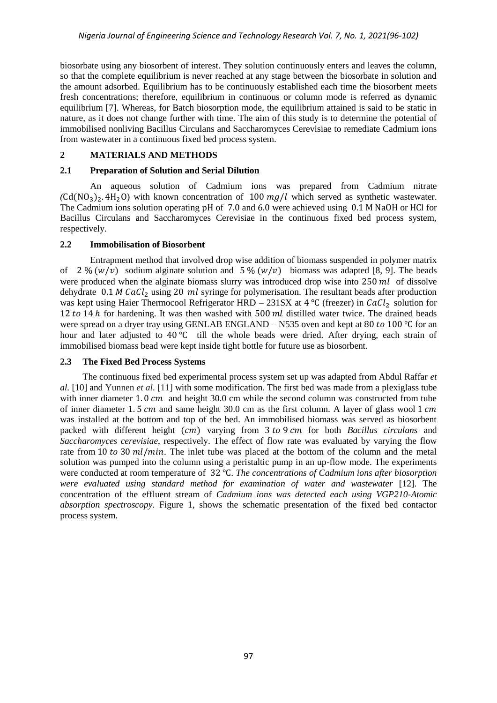biosorbate using any biosorbent of interest. They solution continuously enters and leaves the column, so that the complete equilibrium is never reached at any stage between the biosorbate in solution and the amount adsorbed. Equilibrium has to be continuously established each time the biosorbent meets fresh concentrations; therefore, equilibrium in continuous or column mode is referred as dynamic equilibrium [7]. Whereas, for Batch biosorption mode, the equilibrium attained is said to be static in nature, as it does not change further with time. The aim of this study is to determine the potential of immobilised nonliving Bacillus Circulans and Saccharomyces Cerevisiae to remediate Cadmium ions from wastewater in a continuous fixed bed process system.

# **2 MATERIALS AND METHODS**

# **2.1 Preparation of Solution and Serial Dilution**

An aqueous solution of Cadmium ions was prepared from Cadmium nitrate  $(Cd(NO<sub>3</sub>)<sub>2</sub>$ .  $4H<sub>2</sub>O$ ) with known concentration of 100 mg/l which served as synthetic wastewater. The Cadmium ions solution operating pH of  $7.0$  and  $6.0$  were achieved using  $0.1$  M NaOH or HCl for Bacillus Circulans and Saccharomyces Cerevisiae in the continuous fixed bed process system, respectively*.*

# **2.2 Immobilisation of Biosorbent**

Entrapment method that involved drop wise addition of biomass suspended in polymer matrix of 2%  $(w/v)$  sodium alginate solution and 5%  $(w/v)$  biomass was adapted [8, 9]. The beads were produced when the alginate biomass slurry was introduced drop wise into  $250$  ml of dissolve dehydrate 0.1 M CaCl<sub>2</sub> using 20 ml syringe for polymerisation. The resultant beads after production was kept using Haier Thermocool Refrigerator HRD – 231SX at 4 °C (freezer) in  $CaCl<sub>2</sub>$  solution for 12 to 14 h for hardening. It was then washed with  $500$  ml distilled water twice. The drained beads were spread on a dryer tray using GENLAB ENGLAND – N535 oven and kept at 80 to 100 °C for an hour and later adjusted to 40 °C till the whole beads were dried. After drying, each strain of immobilised biomass bead were kept inside tight bottle for future use as biosorbent.

# **2.3 The Fixed Bed Process Systems**

The continuous fixed bed experimental process system set up was adapted from Abdul Raffar *et al.* [10] and Yunnen *et al.* [11] with some modification. The first bed was made from a plexiglass tube with inner diameter 1.0 cm and height 30.0 cm while the second column was constructed from tube of inner diameter 1.5 cm and same height 30.0 cm as the first column. A layer of glass wool 1 cm was installed at the bottom and top of the bed. An immobilised biomass was served as biosorbent packed with different height (cm) varying from 3 to 9 cm for both *Bacillus circulans* and *Saccharomyces cerevisiae*, respectively. The effect of flow rate was evaluated by varying the flow rate from 10 to 30  $ml/min$ . The inlet tube was placed at the bottom of the column and the metal solution was pumped into the column using a peristaltic pump in an up-flow mode. The experiments were conducted at room temperature of 32 °C. The concentrations of Cadmium ions after biosorption *were evaluated using standard method for examination of water and wastewater* [12]. The concentration of the effluent stream of *Cadmium ions was detected each using VGP210-Atomic absorption spectroscopy.* Figure 1, shows the schematic presentation of the fixed bed contactor process system.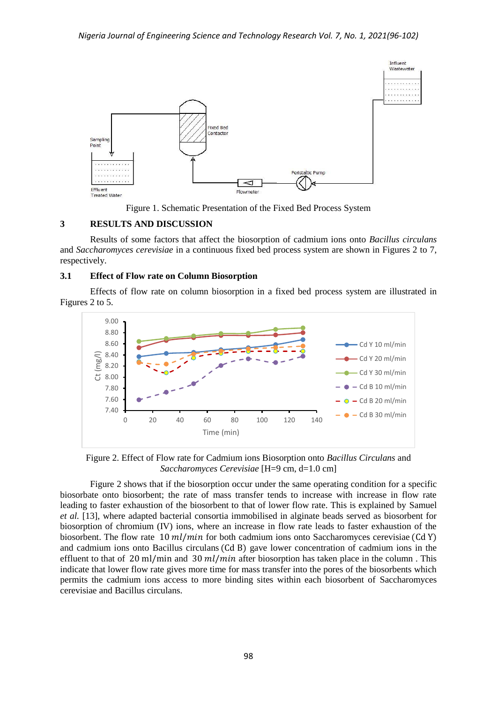



## **3 RESULTS AND DISCUSSION**

Results of some factors that affect the biosorption of cadmium ions onto *Bacillus circulans* and *Saccharomyces cerevisiae* in a continuous fixed bed process system are shown in Figures 2 to 7, respectively.

#### **3.1 Effect of Flow rate on Column Biosorption**

Effects of flow rate on column biosorption in a fixed bed process system are illustrated in Figures 2 to 5.



Figure 2. Effect of Flow rate for Cadmium ions Biosorption onto *Bacillus Circulans* and *Saccharomyces Cerevisiae* [H=9 cm, d=1.0 cm]

Figure 2 shows that if the biosorption occur under the same operating condition for a specific biosorbate onto biosorbent; the rate of mass transfer tends to increase with increase in flow rate leading to faster exhaustion of the biosorbent to that of lower flow rate. This is explained by Samuel *et al.* [13], where adapted bacterial consortia immobilised in alginate beads served as biosorbent for biosorption of chromium (IV) ions, where an increase in flow rate leads to faster exhaustion of the biosorbent. The flow rate 10  $ml/min$  for both cadmium ions onto Saccharomyces cerevisiae (Cd Y) and cadmium ions onto Bacillus circulans (Cd B) gave lower concentration of cadmium ions in the effluent to that of 20 ml/min and 30 ml/min after biosorption has taken place in the column. This indicate that lower flow rate gives more time for mass transfer into the pores of the biosorbents which permits the cadmium ions access to more binding sites within each biosorbent of Saccharomyces cerevisiae and Bacillus circulans.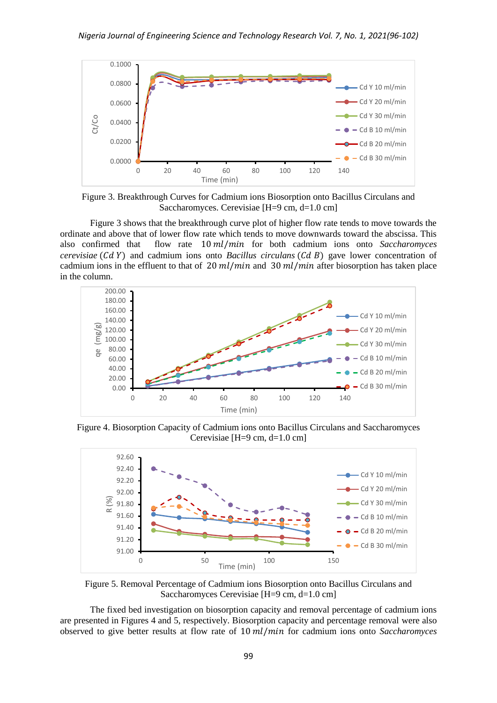

Figure 3. Breakthrough Curves for Cadmium ions Biosorption onto Bacillus Circulans and Saccharomyces. Cerevisiae [H=9 cm, d=1.0 cm]

Figure 3 shows that the breakthrough curve plot of higher flow rate tends to move towards the ordinate and above that of lower flow rate which tends to move downwards toward the abscissa. This also confirmed that flow rate 10 ml/min for both cadmium ions onto *Saccharomyces cerevisiae*  $(CdY)$  and cadmium ions onto *Bacillus circulans*  $(CdB)$  gave lower concentration of cadmium ions in the effluent to that of  $20$  ml/min and  $30$  ml/min after biosorption has taken place in the column.



Figure 4. Biosorption Capacity of Cadmium ions onto Bacillus Circulans and Saccharomyces Cerevisiae [H=9 cm, d=1.0 cm]



Figure 5. Removal Percentage of Cadmium ions Biosorption onto Bacillus Circulans and Saccharomyces Cerevisiae [H=9 cm, d=1.0 cm]

The fixed bed investigation on biosorption capacity and removal percentage of cadmium ions are presented in Figures 4 and 5, respectively. Biosorption capacity and percentage removal were also observed to give better results at flow rate of 10  $ml/min$  for cadmium ions onto *Saccharomyces*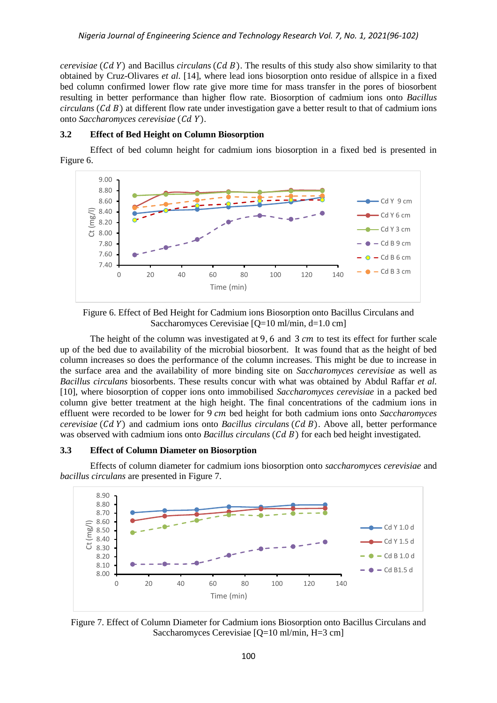*cerevisiae* (Cd Y) and Bacillus *circulans* (Cd B). The results of this study also show similarity to that obtained by Cruz-Olivares *et al.* [14], where lead ions biosorption onto residue of allspice in a fixed bed column confirmed lower flow rate give more time for mass transfer in the pores of biosorbent resulting in better performance than higher flow rate. Biosorption of cadmium ions onto *Bacillus circulans*  $(Cd B)$  at different flow rate under investigation gave a better result to that of cadmium ions onto *Saccharomyces cerevisiae* (Cd Y).

### **3.2 Effect of Bed Height on Column Biosorption**

Effect of bed column height for cadmium ions biosorption in a fixed bed is presented in Figure 6.



Figure 6. Effect of Bed Height for Cadmium ions Biosorption onto Bacillus Circulans and Saccharomyces Cerevisiae [Q=10 ml/min, d=1.0 cm]

The height of the column was investigated at 9, 6 and 3  $cm$  to test its effect for further scale up of the bed due to availability of the microbial biosorbent. It was found that as the height of bed column increases so does the performance of the column increases. This might be due to increase in the surface area and the availability of more binding site on *Saccharomyces cerevisiae* as well as *Bacillus circulans* biosorbents. These results concur with what was obtained by Abdul Raffar *et al.* [10], where biosorption of copper ions onto immobilised *Saccharomyces cerevisiae* in a packed bed column give better treatment at the high height. The final concentrations of the cadmium ions in effluent were recorded to be lower for 9 cm bed height for both cadmium ions onto *Saccharomyces cerevisiae* (Cd Y) and cadmium ions onto *Bacillus circulans* (Cd B). Above all, better performance was observed with cadmium ions onto *Bacillus circulans* (*Cd B*) for each bed height investigated.

#### **3.3 Effect of Column Diameter on Biosorption**

Effects of column diameter for cadmium ions biosorption onto *saccharomyces cerevisiae* and *bacillus circulans* are presented in Figure 7.



Figure 7. Effect of Column Diameter for Cadmium ions Biosorption onto Bacillus Circulans and Saccharomyces Cerevisiae [Q=10 ml/min, H=3 cm]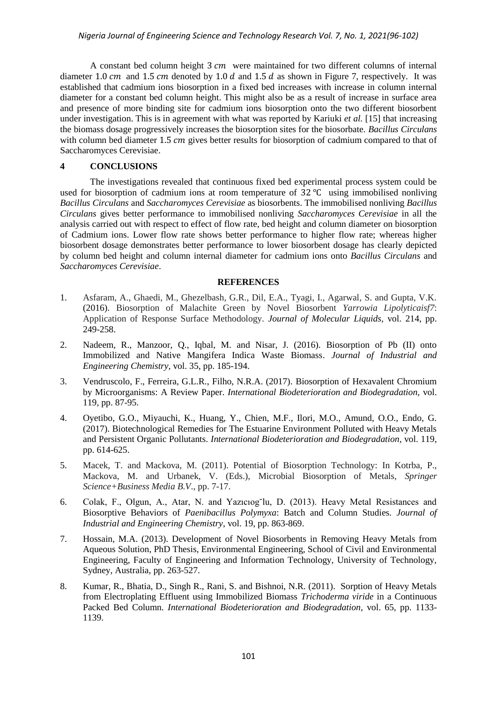#### *Nigeria Journal of Engineering Science and Technology Research Vol. 7, No. 1, 2021(96-102)*

A constant bed column height  $3 \, \text{cm}$  were maintained for two different columns of internal diameter 1.0 cm and 1.5 cm denoted by 1.0 d and 1.5 d as shown in Figure 7, respectively. It was established that cadmium ions biosorption in a fixed bed increases with increase in column internal diameter for a constant bed column height. This might also be as a result of increase in surface area and presence of more binding site for cadmium ions biosorption onto the two different biosorbent under investigation. This is in agreement with what was reported by Kariuki *et al.* [15] that increasing the biomass dosage progressively increases the biosorption sites for the biosorbate. *Bacillus Circulans*  with column bed diameter 1.5  $cm$  gives better results for biosorption of cadmium compared to that of Saccharomyces Cerevisiae.

## **4 CONCLUSIONS**

The investigations revealed that continuous fixed bed experimental process system could be used for biosorption of cadmium ions at room temperature of  $32^{\circ}$ C using immobilised nonliving *Bacillus Circulans* and *Saccharomyces Cerevisiae* as biosorbents. The immobilised nonliving *Bacillus Circulans* gives better performance to immobilised nonliving *Saccharomyces Cerevisiae* in all the analysis carried out with respect to effect of flow rate, bed height and column diameter on biosorption of Cadmium ions. Lower flow rate shows better performance to higher flow rate; whereas higher biosorbent dosage demonstrates better performance to lower biosorbent dosage has clearly depicted by column bed height and column internal diameter for cadmium ions onto *Bacillus Circulans* and *Saccharomyces Cerevisiae*.

### **REFERENCES**

- 1. Asfaram, A., Ghaedi, M., Ghezelbash, G.R., Dil, E.A., Tyagi, I., Agarwal, S. and Gupta, V.K. (2016). Biosorption of Malachite Green by Novel Biosorbent *Yarrowia Lipolyticaisf7*: Application of Response Surface Methodology. *Journal of Molecular Liquids,* vol. 214, pp. 249-258.
- 2. Nadeem, R., Manzoor, Q., Iqbal, M. and Nisar, J. (2016). Biosorption of Pb (II) onto Immobilized and Native Mangifera Indica Waste Biomass. *Journal of Industrial and Engineering Chemistry,* vol. 35, pp. 185-194.
- 3. Vendruscolo, F., Ferreira, G.L.R., Filho, N.R.A. (2017). Biosorption of Hexavalent Chromium by Microorganisms: A Review Paper. *International Biodeterioration and Biodegradation,* vol. 119, pp. 87-95.
- 4. Oyetibo, G.O., Miyauchi, K., Huang, Y., Chien, M.F., Ilori, M.O., Amund, O.O., Endo, G. (2017). Biotechnological Remedies for The Estuarine Environment Polluted with Heavy Metals and Persistent Organic Pollutants. *International Biodeterioration and Biodegradation,* vol. 119, pp. 614-625.
- 5. Macek, T. and Mackova, M. (2011). Potential of Biosorption Technology: In Kotrba, P., Mackova, M. and Urbanek, V. (Eds.), Microbial Biosorption of Metals, *Springer Science+Business Media B.V*., pp. 7-17.
- 6. Colak, F., Olgun, A., Atar, N. and Yazıcıog˘lu, D. (2013). Heavy Metal Resistances and Biosorptive Behaviors of *Paenibacillus Polymyxa*: Batch and Column Studies. *Journal of Industrial and Engineering Chemistry*, vol. 19, pp. 863-869.
- 7. Hossain, M.A. (2013). Development of Novel Biosorbents in Removing Heavy Metals from Aqueous Solution, PhD Thesis, Environmental Engineering, School of Civil and Environmental Engineering, Faculty of Engineering and Information Technology, University of Technology, Sydney, Australia, pp. 263-527.
- 8. Kumar, R., Bhatia, D., Singh R., Rani, S. and Bishnoi, N.R. (2011). Sorption of Heavy Metals from Electroplating Effluent using Immobilized Biomass *Trichoderma viride* in a Continuous Packed Bed Column. *International Biodeterioration and Biodegradation*, vol. 65, pp. 1133- 1139.